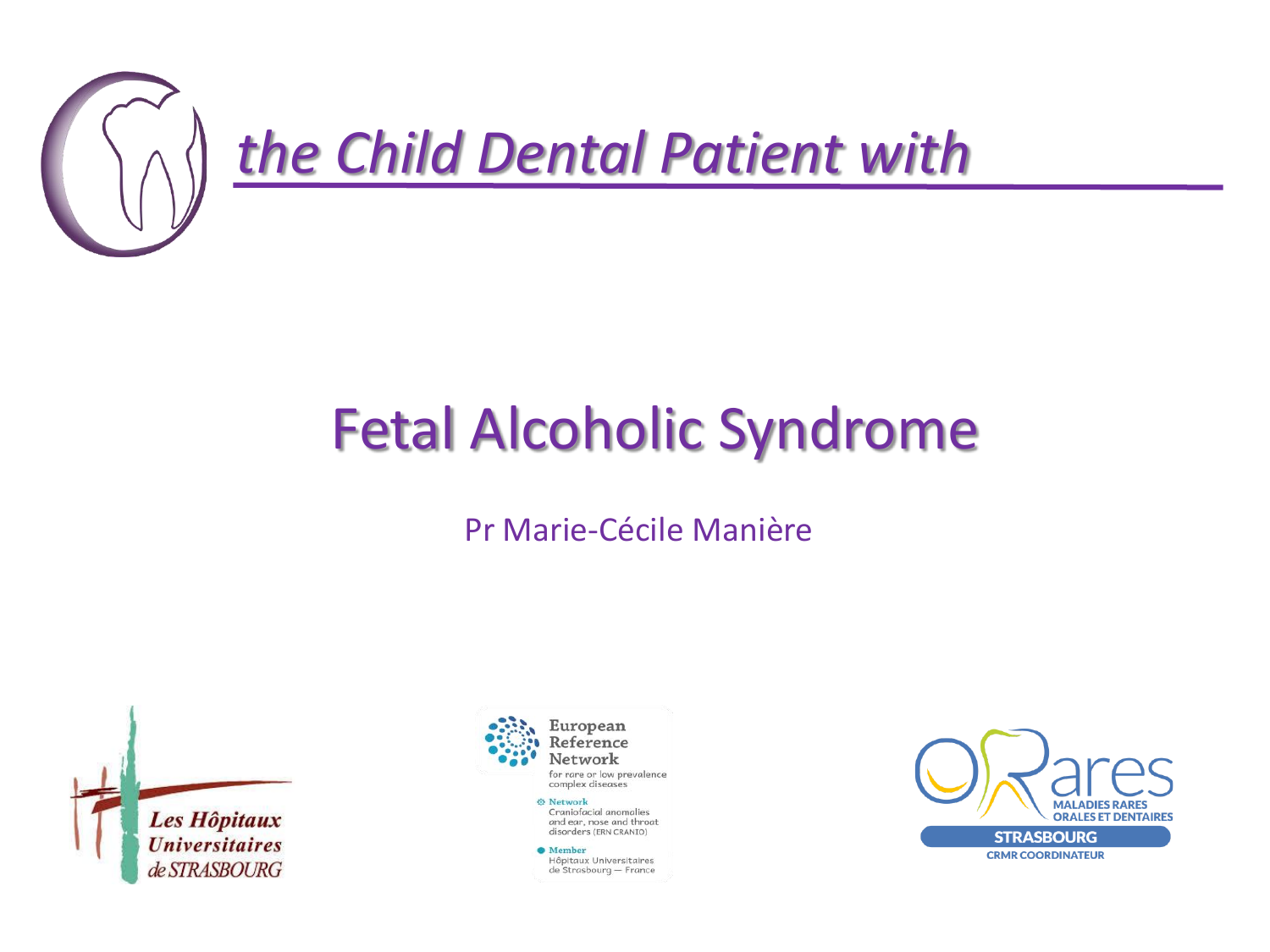

## Fetal Alcoholic Syndrome

#### Pr Marie-Cécile Manière





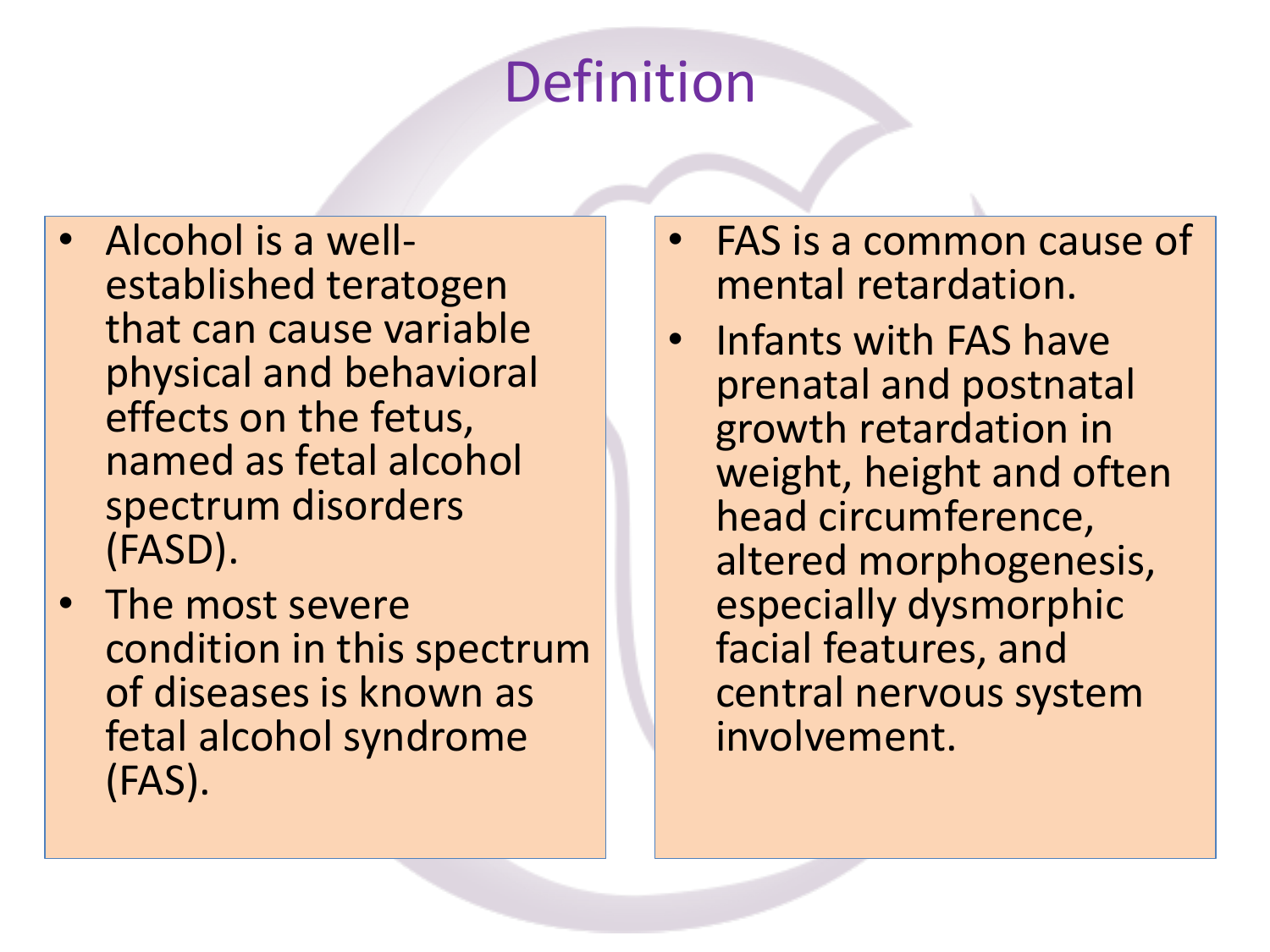## Definition

- Alcohol is a wellestablished teratogen that can cause variable physical and behavioral effects on the fetus, named as fetal alcohol spectrum disorders (FASD).
- The most severe condition in this spectrum of diseases is known as fetal alcohol syndrome (FAS).
- FAS is a common cause of mental retardation.
- Infants with FAS have prenatal and postnatal growth retardation in weight, height and often head circumference, altered morphogenesis, especially dysmorphic facial features, and central nervous system involvement.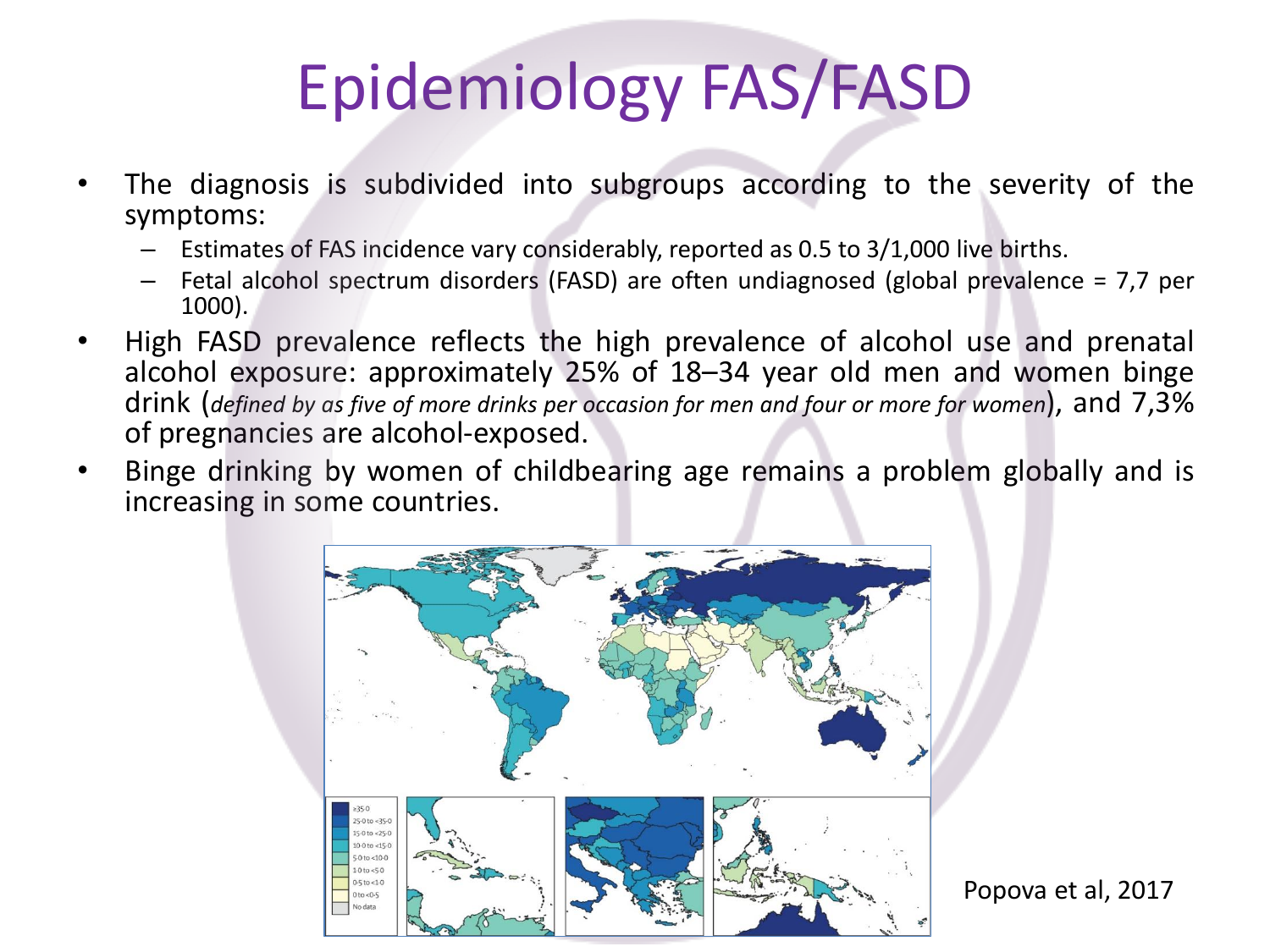# Epidemiology FAS/FASD

- The diagnosis is subdivided into subgroups according to the severity of the symptoms:
	- Estimates of FAS incidence vary considerably, reported as 0.5 to 3/1,000 live births.
	- Fetal alcohol spectrum disorders (FASD) are often undiagnosed (global prevalence = 7,7 per 1000).
- High FASD prevalence reflects the high prevalence of alcohol use and prenatal alcohol exposure: approximately 25% of 18–34 year old men and women binge drink (*defined by as five of more drinks per occasion for men and four or more for women*), and 7,3% of pregnancies are alcohol-exposed.
- Binge drinking by women of childbearing age remains a problem globally and is increasing in some countries.

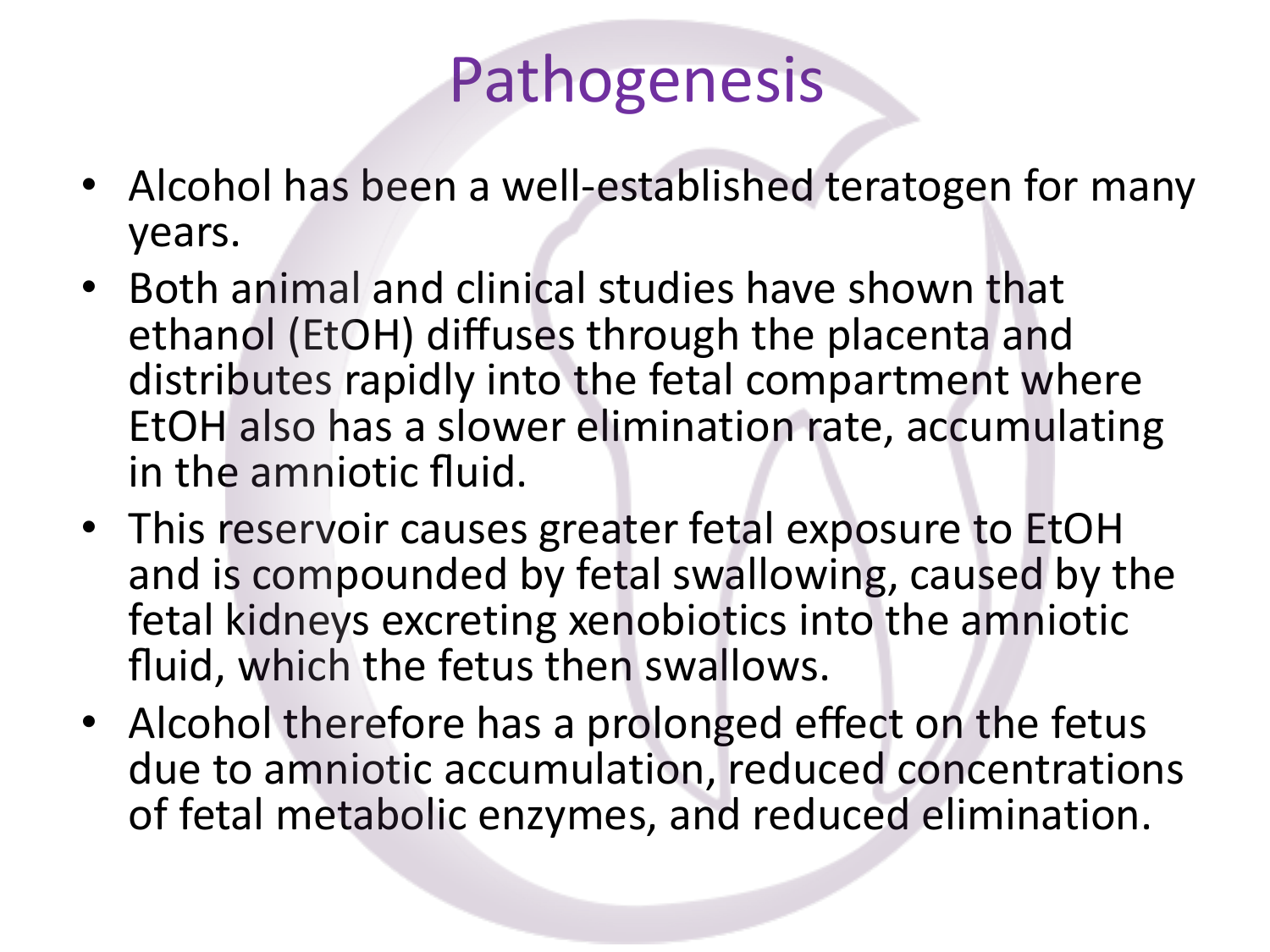## Pathogenesis

- Alcohol has been a well-established teratogen for many years.
- Both animal and clinical studies have shown that ethanol (EtOH) diffuses through the placenta and distributes rapidly into the fetal compartment where EtOH also has a slower elimination rate, accumulating in the amniotic fluid.
- This reservoir causes greater fetal exposure to EtOH and is compounded by fetal swallowing, caused by the fetal kidneys excreting xenobiotics into the amniotic fluid, which the fetus then swallows.
- Alcohol therefore has a prolonged effect on the fetus due to amniotic accumulation, reduced concentrations of fetal metabolic enzymes, and reduced elimination.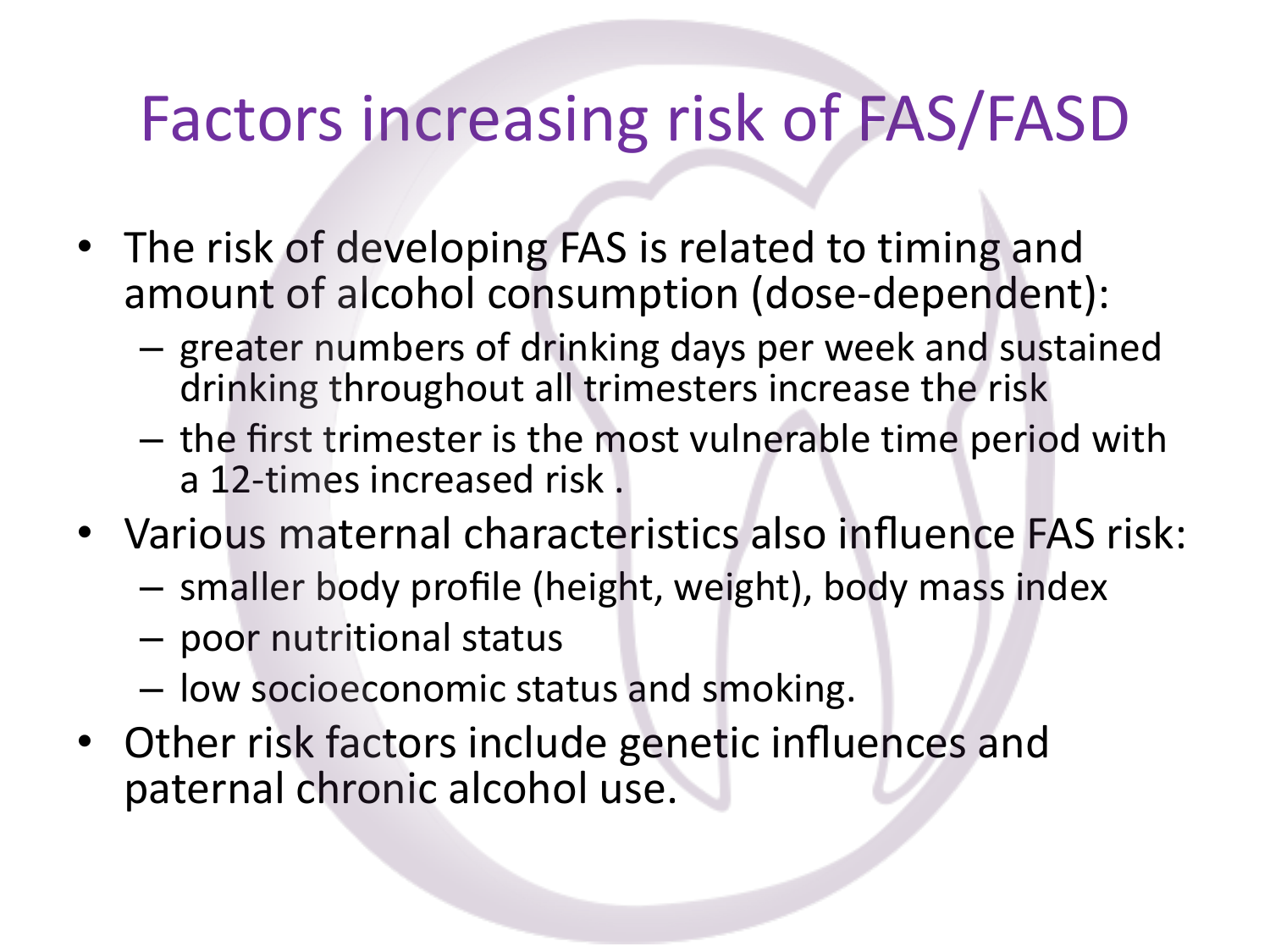## Factors increasing risk of FAS/FASD

- The risk of developing FAS is related to timing and amount of alcohol consumption (dose-dependent):
	- greater numbers of drinking days per week and sustained drinking throughout all trimesters increase the risk
	- the first trimester is the most vulnerable time period with a 12-times increased risk .
- Various maternal characteristics also influence FAS risk:
	- smaller body profile (height, weight), body mass index
	- poor nutritional status
	- low socioeconomic status and smoking.
- Other risk factors include genetic influences and paternal chronic alcohol use.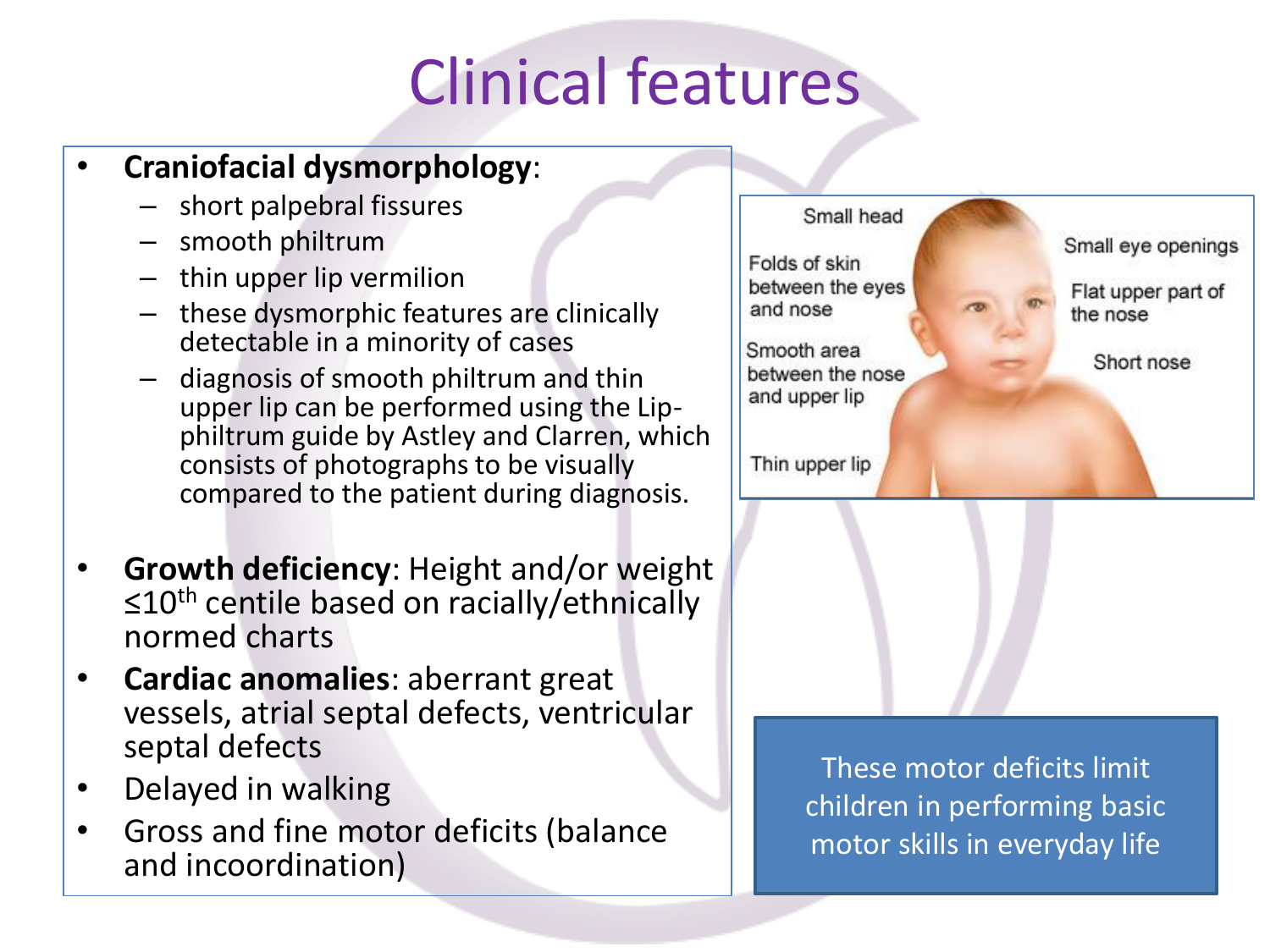## Clinical features

### • **Craniofacial dysmorphology**:

- short palpebral fissures
- smooth philtrum
- thin upper lip vermilion
- these dysmorphic features are clinically detectable in a minority of cases
- diagnosis of smooth philtrum and thin upper lip can be performed using the Lipphiltrum guide by Astley and Clarren, which consists of photographs to be visually compared to the patient during diagnosis.
- **Growth deficiency**: Height and/or weight ≤10<sup>th</sup> centile based on racially/ethnically normed charts
- **Cardiac anomalies**: aberrant great vessels, atrial septal defects, ventricular septal defects
- Delayed in walking
- Gross and fine motor deficits (balance and incoordination)



These motor deficits limit children in performing basic motor skills in everyday life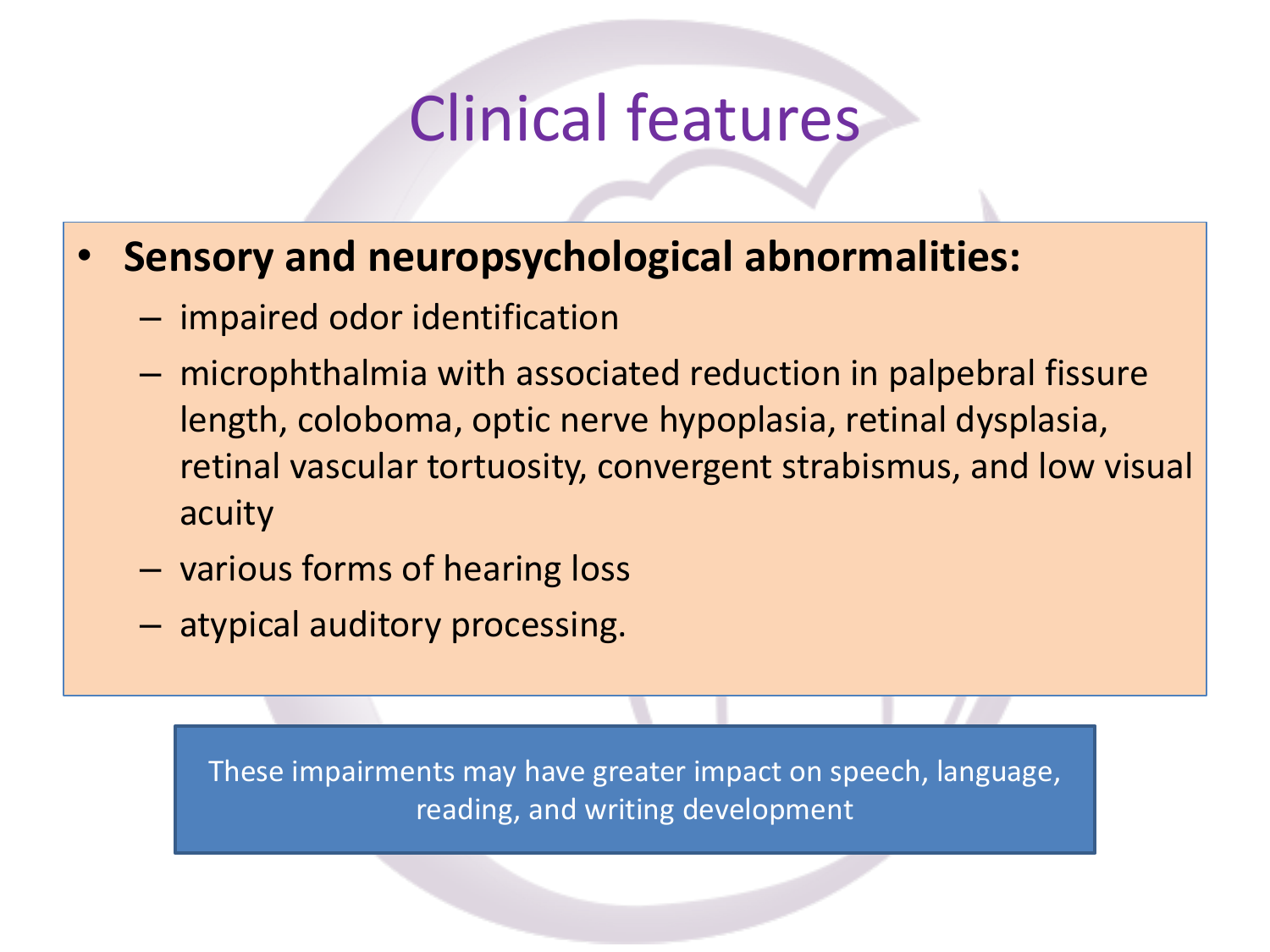### Clinical features

### • **Sensory and neuropsychological abnormalities:**

- impaired odor identification
- microphthalmia with associated reduction in palpebral fissure length, coloboma, optic nerve hypoplasia, retinal dysplasia, retinal vascular tortuosity, convergent strabismus, and low visual acuity
- various forms of hearing loss
- atypical auditory processing.

These impairments may have greater impact on speech, language, reading, and writing development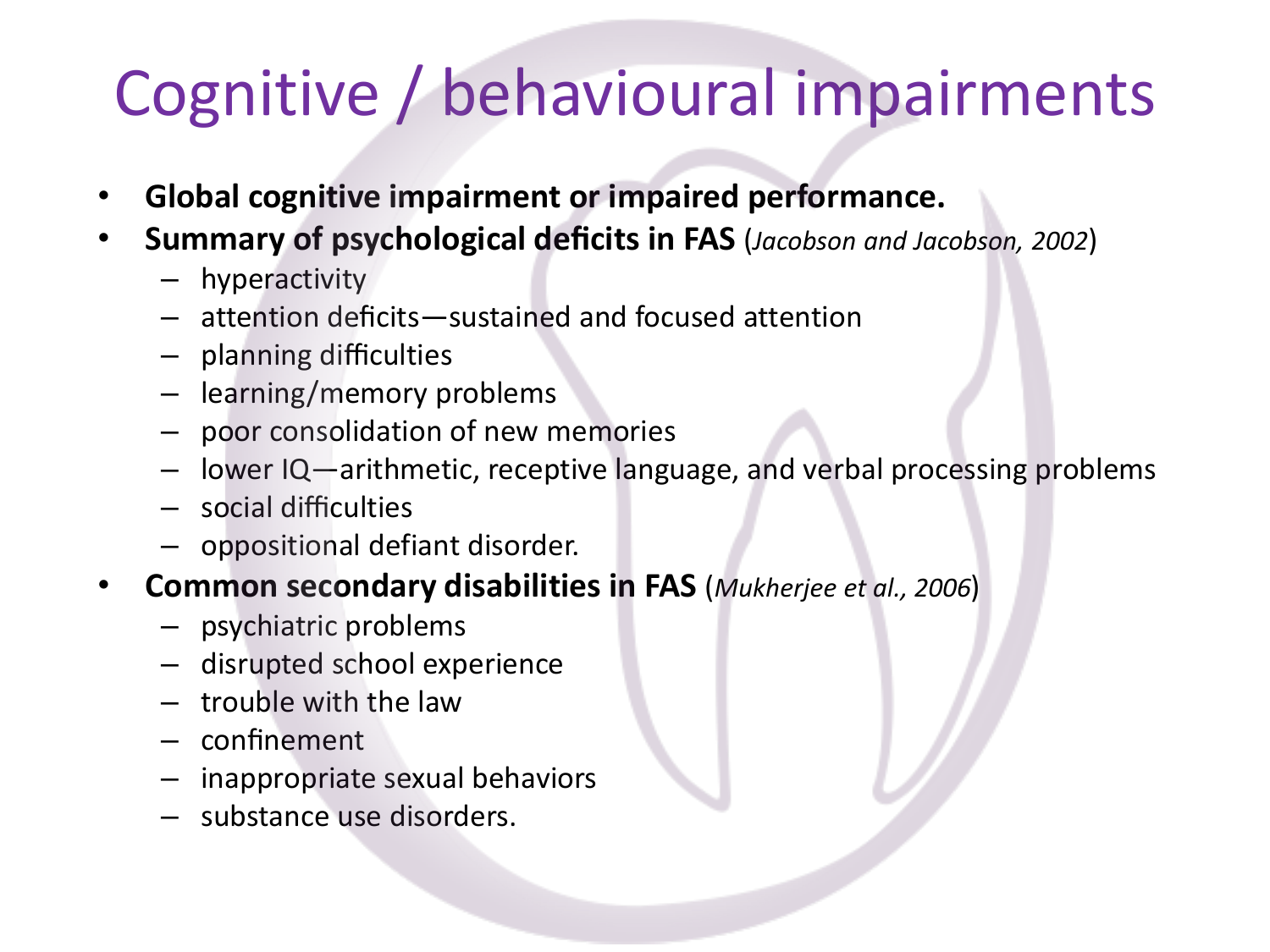# Cognitive / behavioural impairments

- **Global cognitive impairment or impaired performance.**
- **Summary of psychological deficits in FAS** (*Jacobson and Jacobson, 2002*)
	- hyperactivity
	- attention deficits—sustained and focused attention
	- planning difficulties
	- learning/memory problems
	- poor consolidation of new memories
	- lower IQ—arithmetic, receptive language, and verbal processing problems
	- social difficulties
	- oppositional defiant disorder.
- **Common secondary disabilities in FAS** (*Mukherjee et al., 2006*)
	- psychiatric problems
	- disrupted school experience
	- trouble with the law
	- confinement
	- inappropriate sexual behaviors
	- substance use disorders.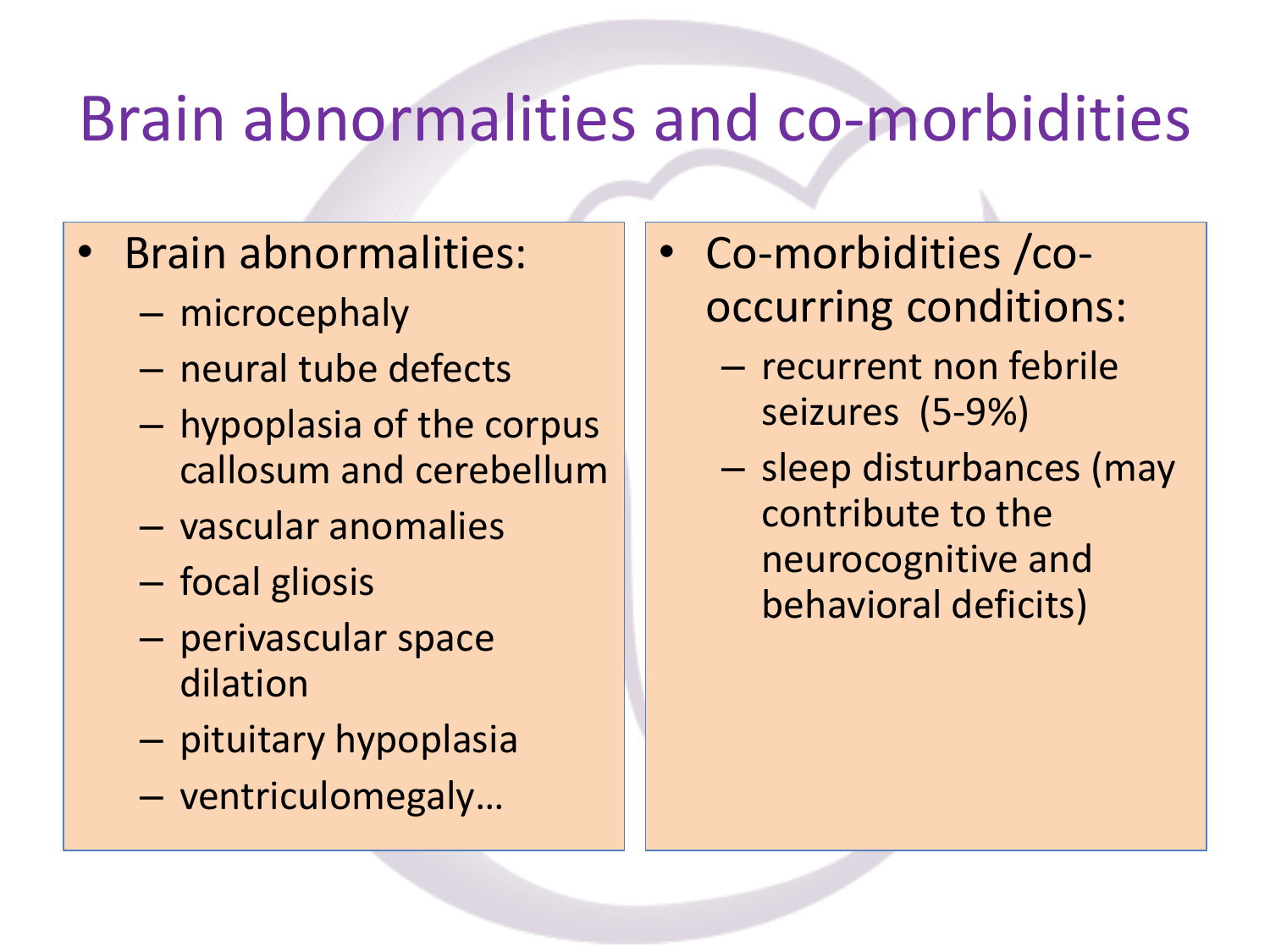## Brain abnormalities and co-morbidities

- Brain abnormalities:
	- microcephaly
	- neural tube defects
	- hypoplasia of the corpus callosum and cerebellum
	- vascular anomalies
	- focal gliosis
	- perivascular space dilation
	- pituitary hypoplasia
	- ventriculomegaly…
- Co-morbidities /cooccurring conditions:
	- recurrent non febrile seizures (5-9%)
	- sleep disturbances (may contribute to the neurocognitive and behavioral deficits)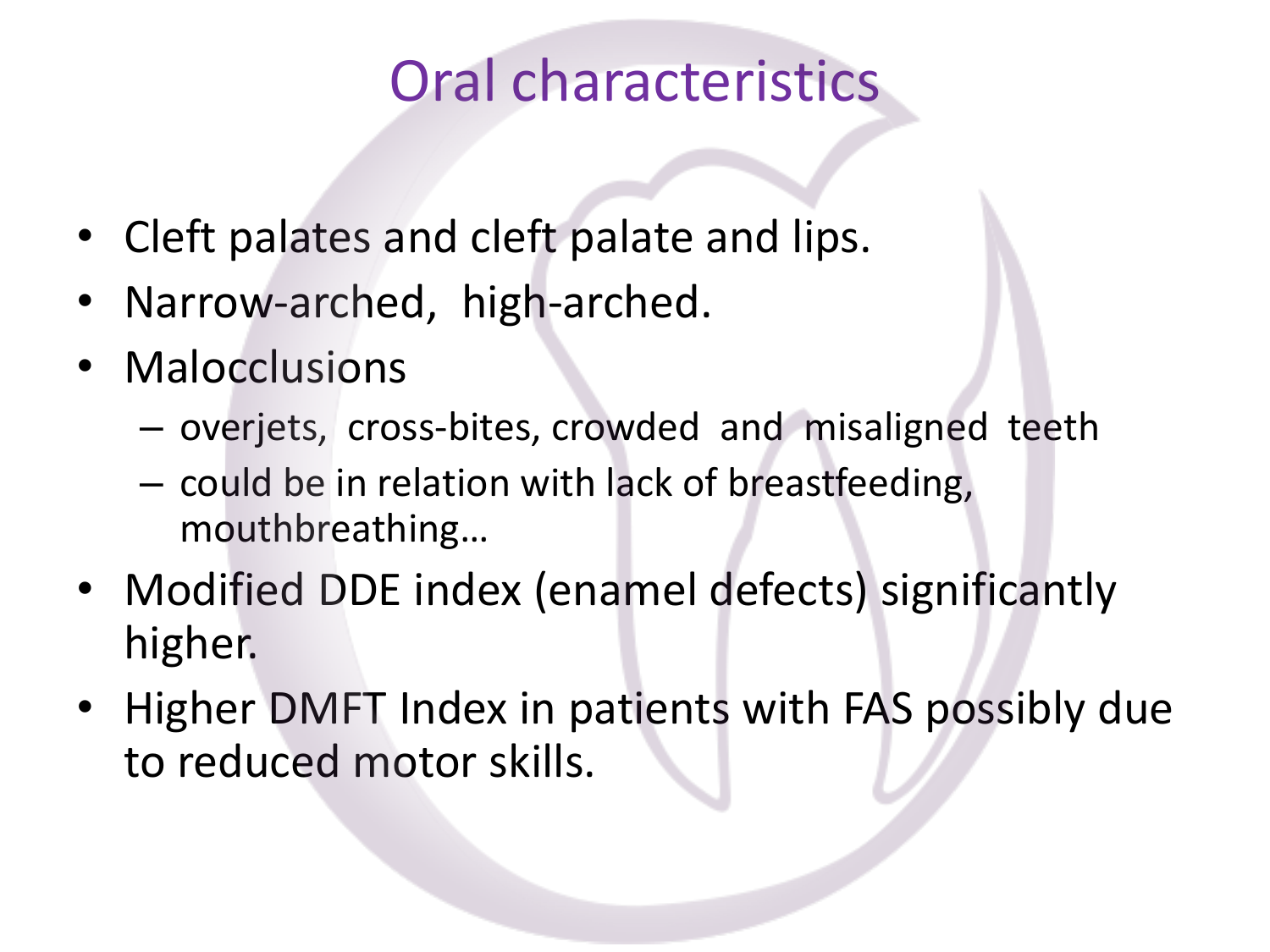### Oral characteristics

- Cleft palates and cleft palate and lips.
- Narrow-arched, high-arched.
- Malocclusions
	- overjets, cross-bites, crowded and misaligned teeth
	- could be in relation with lack of breastfeeding, mouthbreathing…
- Modified DDE index (enamel defects) significantly higher.
- Higher DMFT Index in patients with FAS possibly due to reduced motor skills.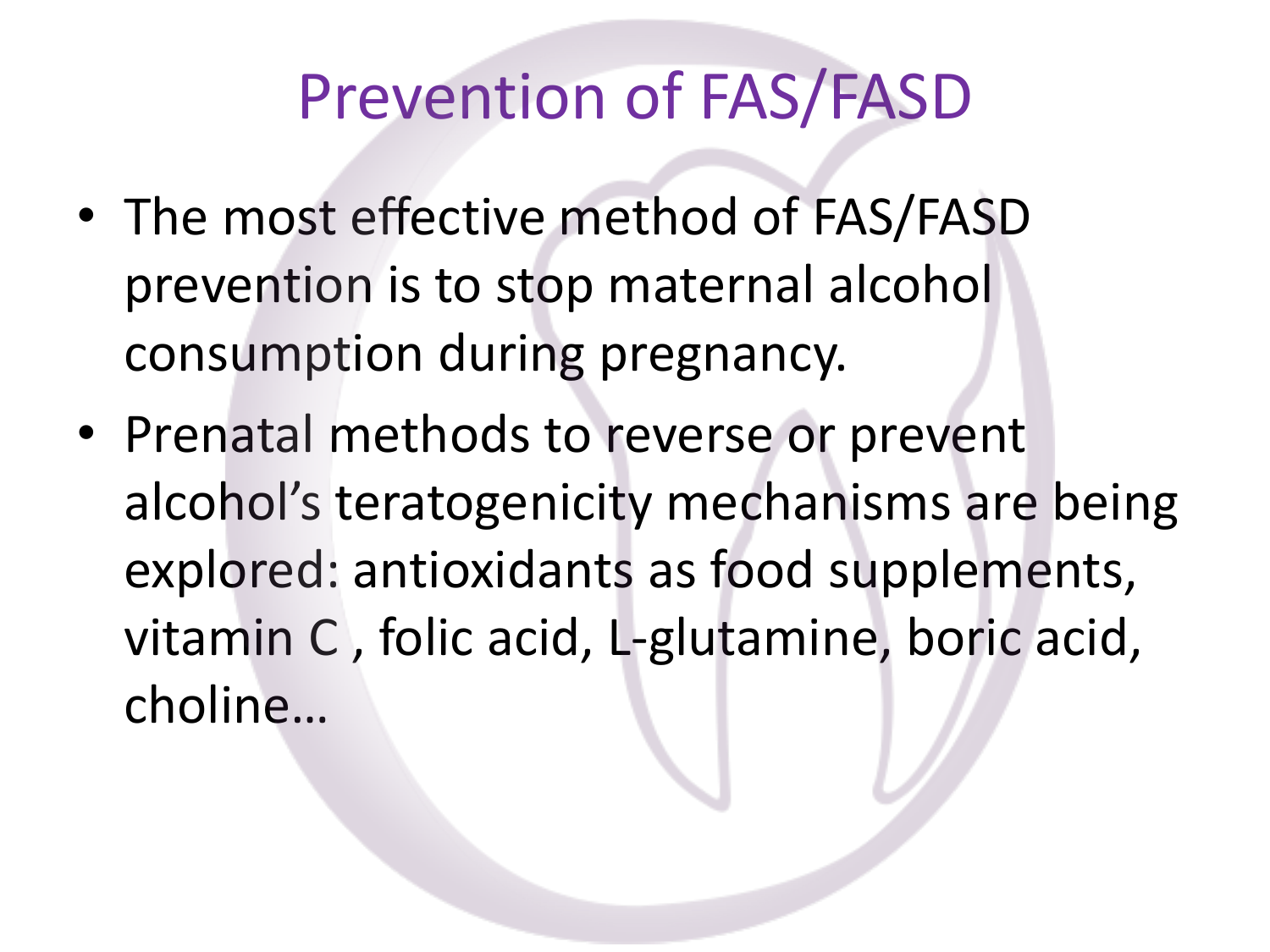## Prevention of FAS/FASD

- The most effective method of FAS/FASD prevention is to stop maternal alcohol consumption during pregnancy.
- Prenatal methods to reverse or prevent alcohol's teratogenicity mechanisms are being explored: antioxidants as food supplements, vitamin C , folic acid, L-glutamine, boric acid, choline…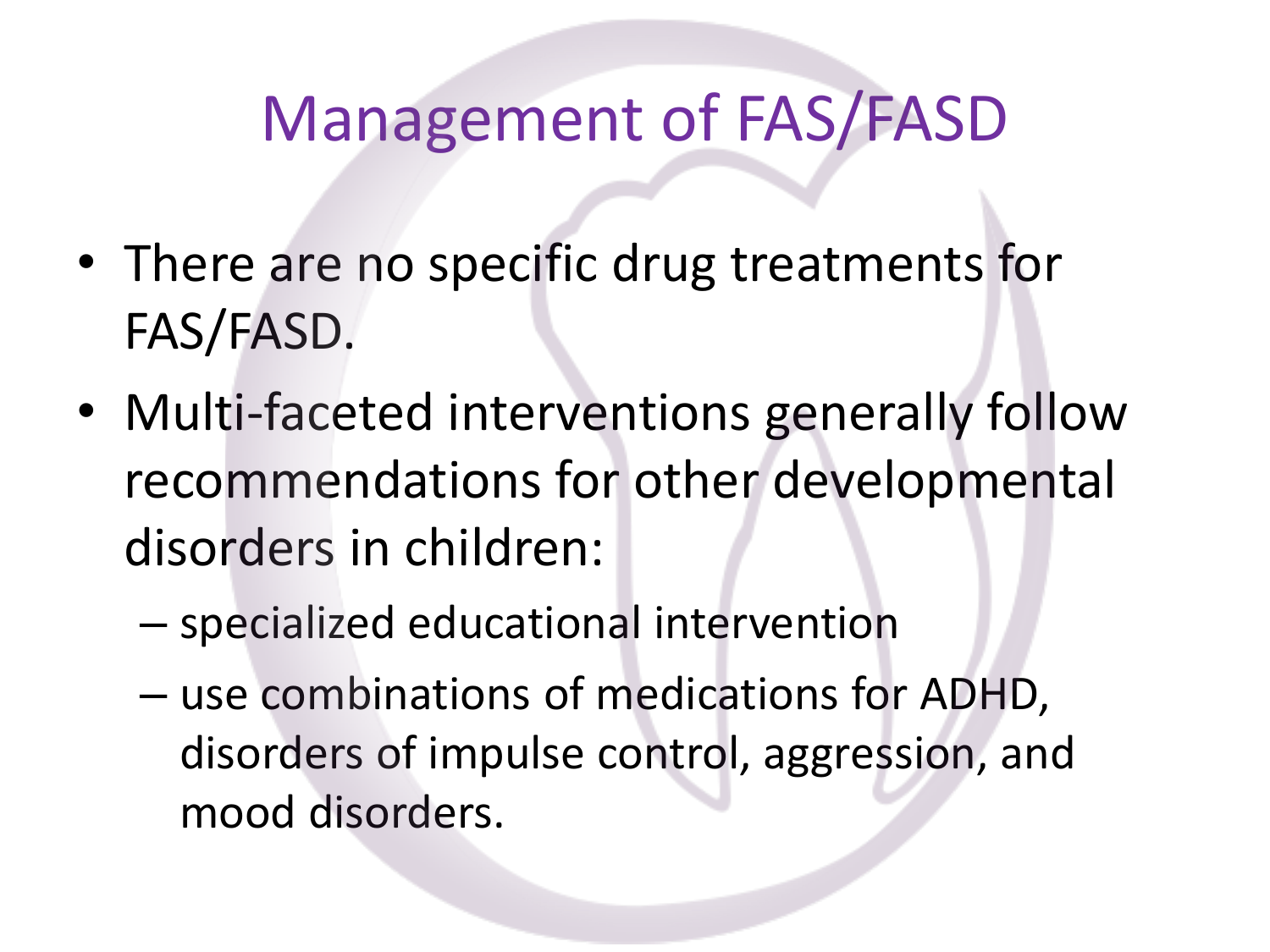### Management of FAS/FASD

- There are no specific drug treatments for FAS/FASD.
- Multi-faceted interventions generally follow recommendations for other developmental disorders in children:
	- specialized educational intervention
	- use combinations of medications for ADHD, disorders of impulse control, aggression, and mood disorders.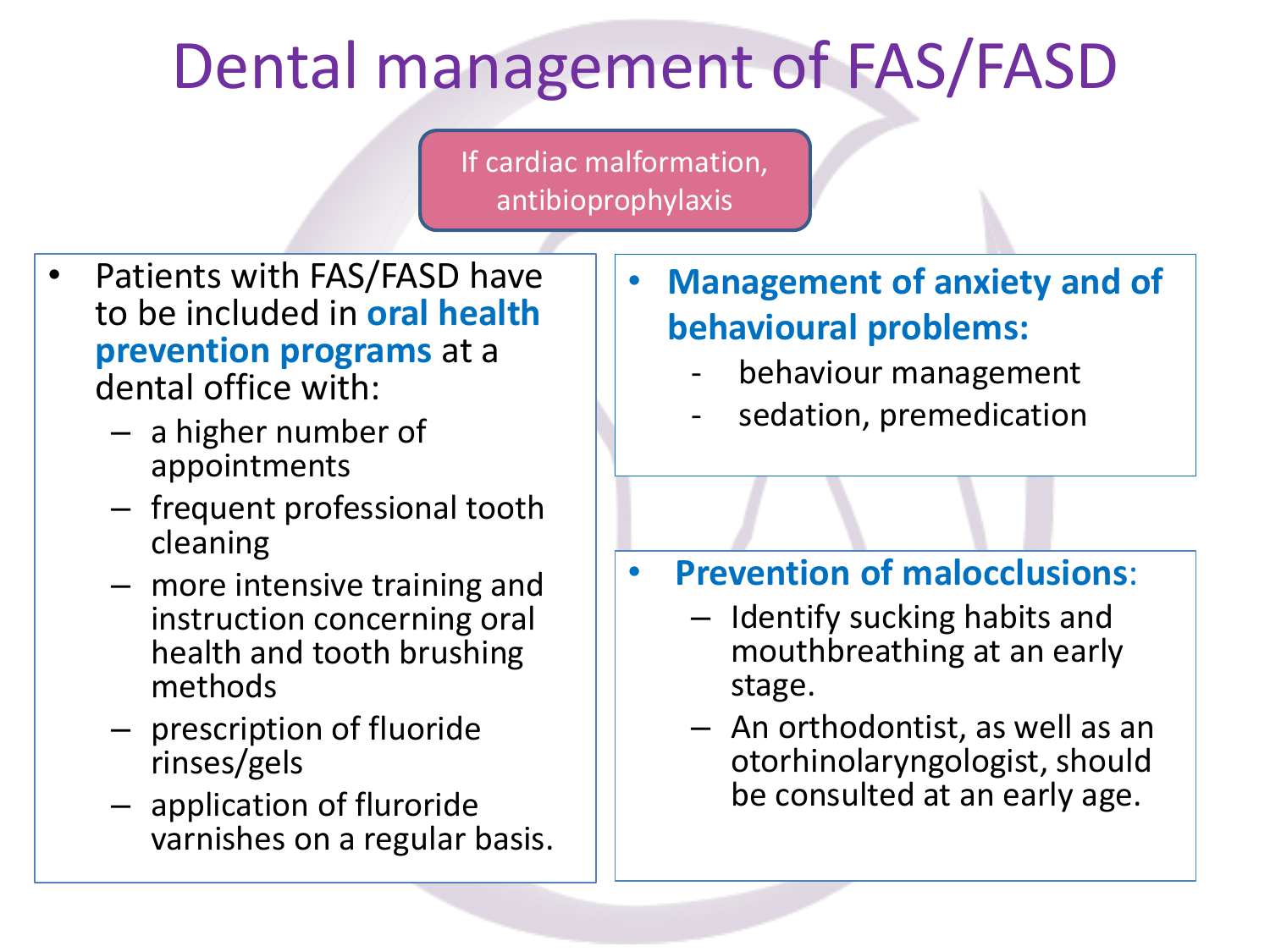## Dental management of FAS/FASD

If cardiac malformation, antibioprophylaxis

- Patients with FAS/FASD have to be included in **oral health prevention programs** at a dental office with:
	- a higher number of appointments
	- frequent professional tooth cleaning
	- more intensive training and instruction concerning oral health and tooth brushing methods
	- prescription of fluoride rinses/gels
	- application of fluroride varnishes on a regular basis.
- **Management of anxiety and of behavioural problems:**
	- behaviour management
	- sedation, premedication

- **Prevention of malocclusions**:
	- Identify sucking habits and mouthbreathing at an early stage.
	- An orthodontist, as well as an otorhinolaryngologist, should be consulted at an early age.